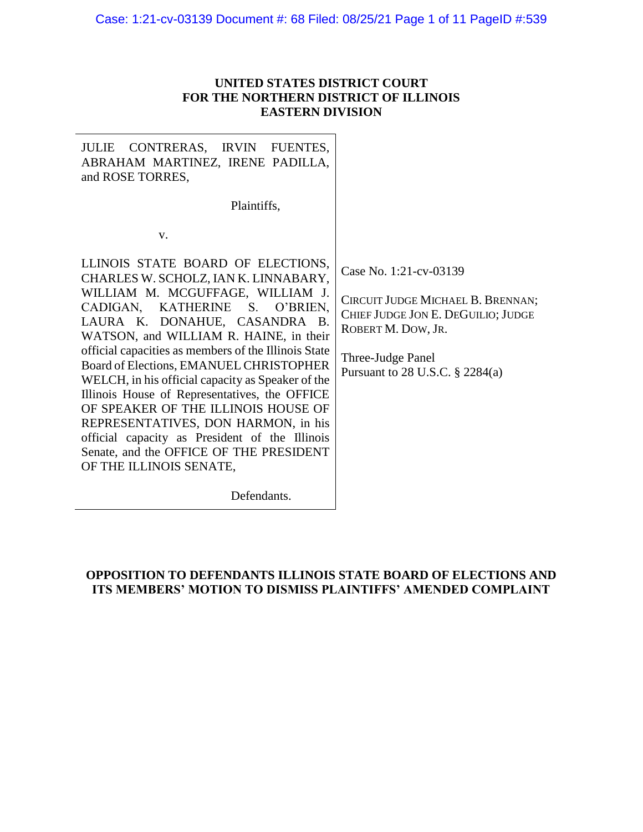# Case: 1:21-cv-03139 Document #: 68 Filed: 08/25/21 Page 1 of 11 PageID #:539

## **UNITED STATES DISTRICT COURT FOR THE NORTHERN DISTRICT OF ILLINOIS EASTERN DIVISION**

| CONTRERAS, IRVIN FUENTES,<br><b>JULIE</b><br>ABRAHAM MARTINEZ, IRENE PADILLA,<br>and ROSE TORRES,                                                                                                                                                                                                                                                                                                                                                                                                                                                                                                                                         |                                                                                                                                                                                    |
|-------------------------------------------------------------------------------------------------------------------------------------------------------------------------------------------------------------------------------------------------------------------------------------------------------------------------------------------------------------------------------------------------------------------------------------------------------------------------------------------------------------------------------------------------------------------------------------------------------------------------------------------|------------------------------------------------------------------------------------------------------------------------------------------------------------------------------------|
| Plaintiffs,                                                                                                                                                                                                                                                                                                                                                                                                                                                                                                                                                                                                                               |                                                                                                                                                                                    |
| V.                                                                                                                                                                                                                                                                                                                                                                                                                                                                                                                                                                                                                                        |                                                                                                                                                                                    |
| LLINOIS STATE BOARD OF ELECTIONS,<br>CHARLES W. SCHOLZ, IAN K. LINNABARY,<br>WILLIAM M. MCGUFFAGE, WILLIAM J.<br>CADIGAN, KATHERINE S. O'BRIEN,<br>LAURA K. DONAHUE, CASANDRA B.<br>WATSON, and WILLIAM R. HAINE, in their<br>official capacities as members of the Illinois State<br>Board of Elections, EMANUEL CHRISTOPHER<br>WELCH, in his official capacity as Speaker of the<br>Illinois House of Representatives, the OFFICE<br>OF SPEAKER OF THE ILLINOIS HOUSE OF<br>REPRESENTATIVES, DON HARMON, in his<br>official capacity as President of the Illinois<br>Senate, and the OFFICE OF THE PRESIDENT<br>OF THE ILLINOIS SENATE, | Case No. 1:21-cv-03139<br>CIRCUIT JUDGE MICHAEL B. BRENNAN;<br>CHIEF JUDGE JON E. DEGUILIO; JUDGE<br>ROBERT M. DOW, JR.<br>Three-Judge Panel<br>Pursuant to 28 U.S.C. $\S$ 2284(a) |
|                                                                                                                                                                                                                                                                                                                                                                                                                                                                                                                                                                                                                                           |                                                                                                                                                                                    |

Defendants.

# **OPPOSITION TO DEFENDANTS ILLINOIS STATE BOARD OF ELECTIONS AND ITS MEMBERS' MOTION TO DISMISS PLAINTIFFS' AMENDED COMPLAINT**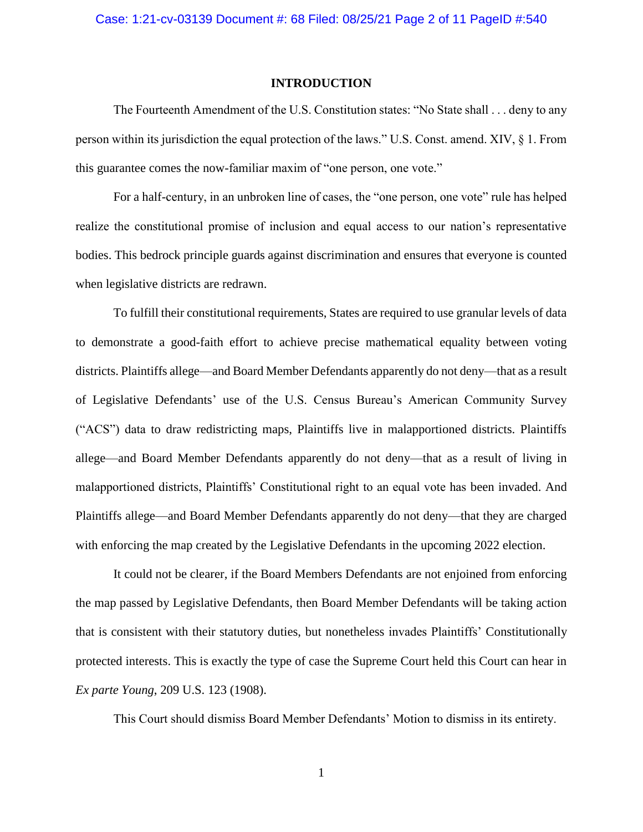### **INTRODUCTION**

The Fourteenth Amendment of the U.S. Constitution states: "No State shall . . . deny to any person within its jurisdiction the equal protection of the laws." U.S. Const. amend. XIV, § 1. From this guarantee comes the now-familiar maxim of "one person, one vote."

For a half-century, in an unbroken line of cases, the "one person, one vote" rule has helped realize the constitutional promise of inclusion and equal access to our nation's representative bodies. This bedrock principle guards against discrimination and ensures that everyone is counted when legislative districts are redrawn.

To fulfill their constitutional requirements, States are required to use granular levels of data to demonstrate a good-faith effort to achieve precise mathematical equality between voting districts. Plaintiffs allege—and Board Member Defendants apparently do not deny—that as a result of Legislative Defendants' use of the U.S. Census Bureau's American Community Survey ("ACS") data to draw redistricting maps, Plaintiffs live in malapportioned districts. Plaintiffs allege—and Board Member Defendants apparently do not deny—that as a result of living in malapportioned districts, Plaintiffs' Constitutional right to an equal vote has been invaded. And Plaintiffs allege—and Board Member Defendants apparently do not deny—that they are charged with enforcing the map created by the Legislative Defendants in the upcoming 2022 election.

It could not be clearer, if the Board Members Defendants are not enjoined from enforcing the map passed by Legislative Defendants, then Board Member Defendants will be taking action that is consistent with their statutory duties, but nonetheless invades Plaintiffs' Constitutionally protected interests. This is exactly the type of case the Supreme Court held this Court can hear in *Ex parte Young*, 209 U.S. 123 (1908).

This Court should dismiss Board Member Defendants' Motion to dismiss in its entirety.

1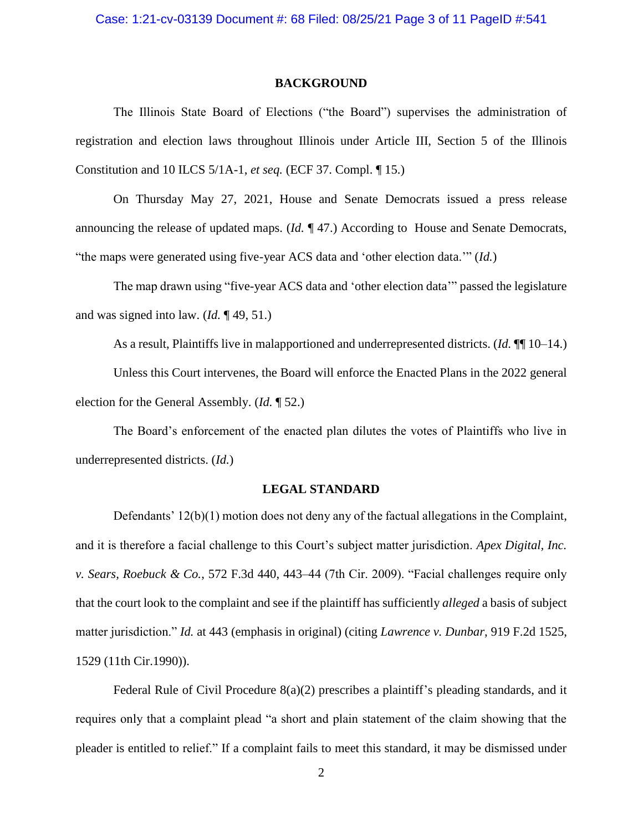#### **BACKGROUND**

The Illinois State Board of Elections ("the Board") supervises the administration of registration and election laws throughout Illinois under Article III, Section 5 of the Illinois Constitution and 10 ILCS 5/1A-1, *et seq.* (ECF 37. Compl. ¶ 15.)

On Thursday May 27, 2021, House and Senate Democrats issued a press release announcing the release of updated maps. (*Id.* ¶ 47.) According to House and Senate Democrats, "the maps were generated using five-year ACS data and 'other election data.'" (*Id.*)

The map drawn using "five-year ACS data and 'other election data'" passed the legislature and was signed into law. (*Id.* ¶ 49, 51.)

As a result, Plaintiffs live in malapportioned and underrepresented districts. (*Id.* ¶¶ 10–14.)

Unless this Court intervenes, the Board will enforce the Enacted Plans in the 2022 general election for the General Assembly. (*Id.* ¶ 52.)

The Board's enforcement of the enacted plan dilutes the votes of Plaintiffs who live in underrepresented districts. (*Id.*)

#### **LEGAL STANDARD**

Defendants' 12(b)(1) motion does not deny any of the factual allegations in the Complaint, and it is therefore a facial challenge to this Court's subject matter jurisdiction. *Apex Digital, Inc. v. Sears, Roebuck & Co.*, 572 F.3d 440, 443–44 (7th Cir. 2009). "Facial challenges require only that the court look to the complaint and see if the plaintiff has sufficiently *alleged* a basis of subject matter jurisdiction." *Id.* at 443 (emphasis in original) (citing *Lawrence v. Dunbar*, 919 F.2d 1525, 1529 (11th Cir.1990)).

Federal Rule of Civil Procedure 8(a)(2) prescribes a plaintiff's pleading standards, and it requires only that a complaint plead "a short and plain statement of the claim showing that the pleader is entitled to relief." If a complaint fails to meet this standard, it may be dismissed under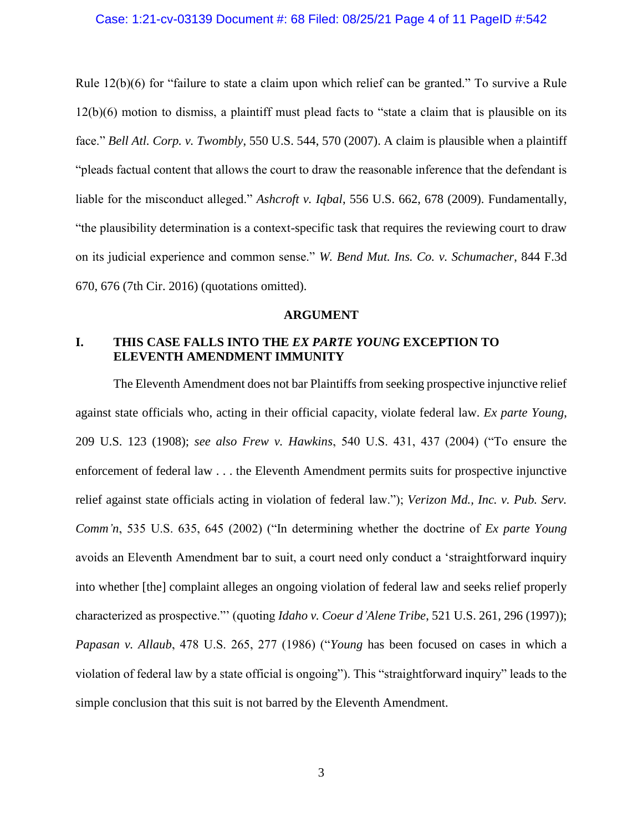### Case: 1:21-cv-03139 Document #: 68 Filed: 08/25/21 Page 4 of 11 PageID #:542

Rule 12(b)(6) for "failure to state a claim upon which relief can be granted." To survive a Rule 12(b)(6) motion to dismiss, a plaintiff must plead facts to "state a claim that is plausible on its face." *Bell Atl. Corp. v. Twombly*, 550 U.S. 544, 570 (2007). A claim is plausible when a plaintiff "pleads factual content that allows the court to draw the reasonable inference that the defendant is liable for the misconduct alleged." *Ashcroft v. Iqbal*, 556 U.S. 662, 678 (2009). Fundamentally, "the plausibility determination is a context-specific task that requires the reviewing court to draw on its judicial experience and common sense." *W. Bend Mut. Ins. Co. v. Schumacher*, 844 F.3d 670, 676 (7th Cir. 2016) (quotations omitted).

### **ARGUMENT**

### **I. THIS CASE FALLS INTO THE** *EX PARTE YOUNG* **EXCEPTION TO ELEVENTH AMENDMENT IMMUNITY**

The Eleventh Amendment does not bar Plaintiffs from seeking prospective injunctive relief against state officials who, acting in their official capacity, violate federal law. *Ex parte Young*, 209 U.S. 123 (1908); *see also Frew v. Hawkins*, 540 U.S. 431, 437 (2004) ("To ensure the enforcement of federal law . . . the Eleventh Amendment permits suits for prospective injunctive relief against state officials acting in violation of federal law."); *Verizon Md., Inc. v. Pub. Serv. Comm'n*, 535 U.S. 635, 645 (2002) ("In determining whether the doctrine of *Ex parte Young*  avoids an Eleventh Amendment bar to suit, a court need only conduct a 'straightforward inquiry into whether [the] complaint alleges an ongoing violation of federal law and seeks relief properly characterized as prospective."' (quoting *Idaho v. Coeur d'Alene Tribe*, 521 U.S. 261, 296 (1997)); *Papasan v. Allaub*, 478 U.S. 265, 277 (1986) ("*Young* has been focused on cases in which a violation of federal law by a state official is ongoing"). This "straightforward inquiry" leads to the simple conclusion that this suit is not barred by the Eleventh Amendment.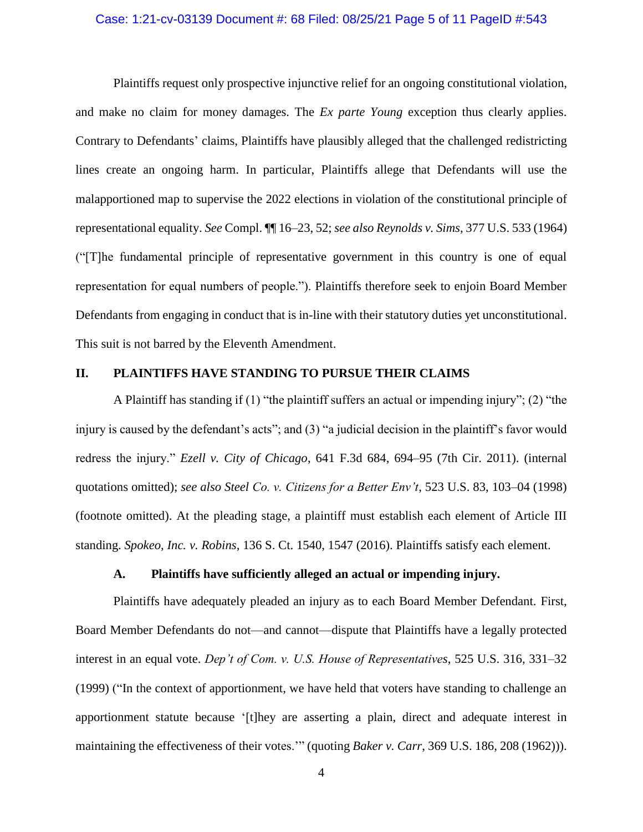### Case: 1:21-cv-03139 Document #: 68 Filed: 08/25/21 Page 5 of 11 PageID #:543

Plaintiffs request only prospective injunctive relief for an ongoing constitutional violation, and make no claim for money damages. The *Ex parte Young* exception thus clearly applies. Contrary to Defendants' claims, Plaintiffs have plausibly alleged that the challenged redistricting lines create an ongoing harm. In particular, Plaintiffs allege that Defendants will use the malapportioned map to supervise the 2022 elections in violation of the constitutional principle of representational equality. *See* Compl. ¶¶ 16–23, 52; *see also Reynolds v. Sims*, 377 U.S. 533 (1964) ("[T]he fundamental principle of representative government in this country is one of equal representation for equal numbers of people."). Plaintiffs therefore seek to enjoin Board Member Defendants from engaging in conduct that is in-line with their statutory duties yet unconstitutional. This suit is not barred by the Eleventh Amendment.

### **II. PLAINTIFFS HAVE STANDING TO PURSUE THEIR CLAIMS**

A Plaintiff has standing if (1) "the plaintiff suffers an actual or impending injury"; (2) "the injury is caused by the defendant's acts"; and (3) "a judicial decision in the plaintiff's favor would redress the injury." *Ezell v. City of Chicago*, 641 F.3d 684, 694–95 (7th Cir. 2011). (internal quotations omitted); *see also Steel Co. v. Citizens for a Better Env't*, 523 U.S. 83, 103–04 (1998) (footnote omitted). At the pleading stage, a plaintiff must establish each element of Article III standing. *Spokeo, Inc. v. Robins*, 136 S. Ct. 1540, 1547 (2016). Plaintiffs satisfy each element.

### **A. Plaintiffs have sufficiently alleged an actual or impending injury.**

Plaintiffs have adequately pleaded an injury as to each Board Member Defendant. First, Board Member Defendants do not—and cannot—dispute that Plaintiffs have a legally protected interest in an equal vote. *Dep't of Com. v. U.S. House of Representatives*, 525 U.S. 316, 331–32 (1999) ("In the context of apportionment, we have held that voters have standing to challenge an apportionment statute because '[t]hey are asserting a plain, direct and adequate interest in maintaining the effectiveness of their votes.'" (quoting *Baker v. Carr*, 369 U.S. 186, 208 (1962))).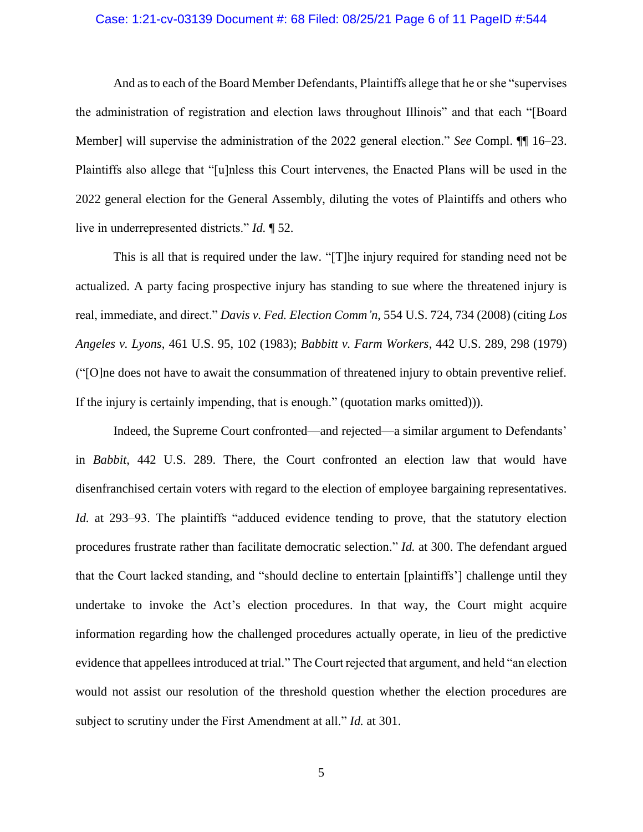### Case: 1:21-cv-03139 Document #: 68 Filed: 08/25/21 Page 6 of 11 PageID #:544

And as to each of the Board Member Defendants, Plaintiffs allege that he or she "supervises the administration of registration and election laws throughout Illinois" and that each "[Board Member] will supervise the administration of the 2022 general election." *See* Compl. ¶¶ 16–23. Plaintiffs also allege that "[u]nless this Court intervenes, the Enacted Plans will be used in the 2022 general election for the General Assembly, diluting the votes of Plaintiffs and others who live in underrepresented districts." *Id.* ¶ 52.

This is all that is required under the law. "[T]he injury required for standing need not be actualized. A party facing prospective injury has standing to sue where the threatened injury is real, immediate, and direct." *Davis v. Fed. Election Comm'n*, 554 U.S. 724, 734 (2008) (citing *Los Angeles v. Lyons*, 461 U.S. 95, 102 (1983); *Babbitt v. Farm Workers*, 442 U.S. 289, 298 (1979) ("[O]ne does not have to await the consummation of threatened injury to obtain preventive relief. If the injury is certainly impending, that is enough." (quotation marks omitted))).

Indeed, the Supreme Court confronted—and rejected—a similar argument to Defendants' in *Babbit*, 442 U.S. 289. There, the Court confronted an election law that would have disenfranchised certain voters with regard to the election of employee bargaining representatives. *Id.* at 293–93. The plaintiffs "adduced evidence tending to prove, that the statutory election procedures frustrate rather than facilitate democratic selection." *Id.* at 300. The defendant argued that the Court lacked standing, and "should decline to entertain [plaintiffs'] challenge until they undertake to invoke the Act's election procedures. In that way, the Court might acquire information regarding how the challenged procedures actually operate, in lieu of the predictive evidence that appellees introduced at trial." The Court rejected that argument, and held "an election would not assist our resolution of the threshold question whether the election procedures are subject to scrutiny under the First Amendment at all." *Id.* at 301.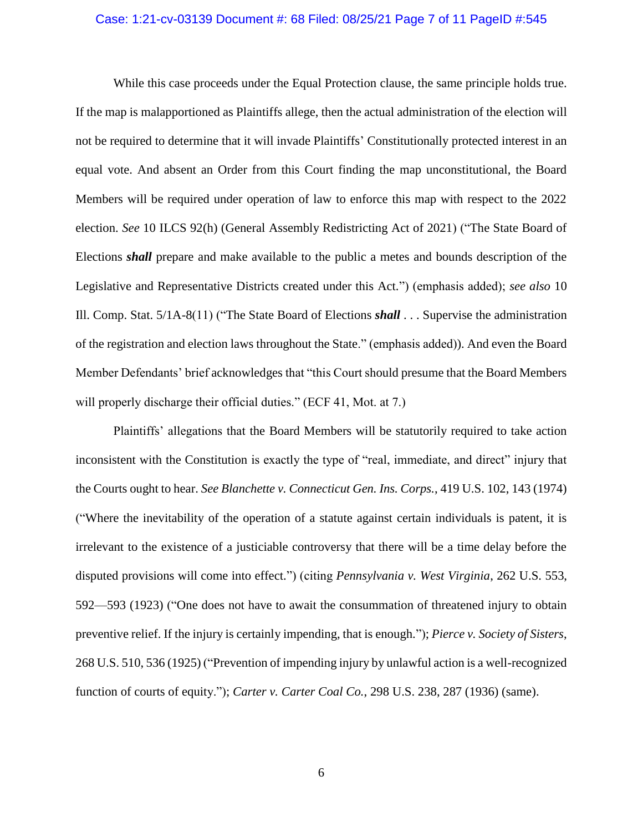### Case: 1:21-cv-03139 Document #: 68 Filed: 08/25/21 Page 7 of 11 PageID #:545

While this case proceeds under the Equal Protection clause, the same principle holds true. If the map is malapportioned as Plaintiffs allege, then the actual administration of the election will not be required to determine that it will invade Plaintiffs' Constitutionally protected interest in an equal vote. And absent an Order from this Court finding the map unconstitutional, the Board Members will be required under operation of law to enforce this map with respect to the 2022 election. *See* 10 ILCS 92(h) (General Assembly Redistricting Act of 2021) ("The State Board of Elections *shall* prepare and make available to the public a metes and bounds description of the Legislative and Representative Districts created under this Act.") (emphasis added); *see also* 10 Ill. Comp. Stat. 5/1A-8(11) ("The State Board of Elections *shall* . . . Supervise the administration of the registration and election laws throughout the State." (emphasis added)). And even the Board Member Defendants' brief acknowledges that "this Court should presume that the Board Members will properly discharge their official duties." (ECF 41, Mot. at 7.)

Plaintiffs' allegations that the Board Members will be statutorily required to take action inconsistent with the Constitution is exactly the type of "real, immediate, and direct" injury that the Courts ought to hear. *See Blanchette v. Connecticut Gen. Ins. Corps.*, 419 U.S. 102, 143 (1974) ("Where the inevitability of the operation of a statute against certain individuals is patent, it is irrelevant to the existence of a justiciable controversy that there will be a time delay before the disputed provisions will come into effect.") (citing *Pennsylvania v. West Virginia*, 262 U.S. 553, 592—593 (1923) ("One does not have to await the consummation of threatened injury to obtain preventive relief. If the injury is certainly impending, that is enough."); *Pierce v. Society of Sisters*, 268 U.S. 510, 536 (1925) ("Prevention of impending injury by unlawful action is a well-recognized function of courts of equity."); *Carter v. Carter Coal Co.*, 298 U.S. 238, 287 (1936) (same).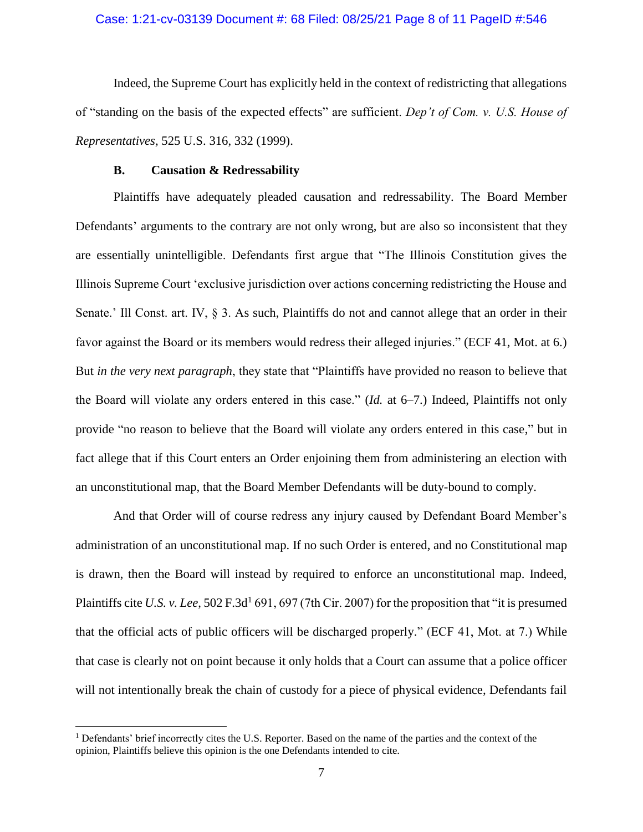### Case: 1:21-cv-03139 Document #: 68 Filed: 08/25/21 Page 8 of 11 PageID #:546

Indeed, the Supreme Court has explicitly held in the context of redistricting that allegations of "standing on the basis of the expected effects" are sufficient. *Dep't of Com. v. U.S. House of Representatives,* 525 U.S. 316, 332 (1999).

### **B. Causation & Redressability**

Plaintiffs have adequately pleaded causation and redressability. The Board Member Defendants' arguments to the contrary are not only wrong, but are also so inconsistent that they are essentially unintelligible. Defendants first argue that "The Illinois Constitution gives the Illinois Supreme Court 'exclusive jurisdiction over actions concerning redistricting the House and Senate.' Ill Const. art. IV, § 3. As such, Plaintiffs do not and cannot allege that an order in their favor against the Board or its members would redress their alleged injuries." (ECF 41, Mot. at 6.) But *in the very next paragraph*, they state that "Plaintiffs have provided no reason to believe that the Board will violate any orders entered in this case." (*Id.* at 6–7.) Indeed, Plaintiffs not only provide "no reason to believe that the Board will violate any orders entered in this case," but in fact allege that if this Court enters an Order enjoining them from administering an election with an unconstitutional map, that the Board Member Defendants will be duty-bound to comply.

And that Order will of course redress any injury caused by Defendant Board Member's administration of an unconstitutional map. If no such Order is entered, and no Constitutional map is drawn, then the Board will instead by required to enforce an unconstitutional map. Indeed, Plaintiffs cite *U.S. v. Lee*, 502 F.3d<sup>1</sup> 691, 697 (7th Cir. 2007) for the proposition that "it is presumed that the official acts of public officers will be discharged properly." (ECF 41, Mot. at 7.) While that case is clearly not on point because it only holds that a Court can assume that a police officer will not intentionally break the chain of custody for a piece of physical evidence, Defendants fail

 $\overline{a}$ 

<sup>&</sup>lt;sup>1</sup> Defendants' brief incorrectly cites the U.S. Reporter. Based on the name of the parties and the context of the opinion, Plaintiffs believe this opinion is the one Defendants intended to cite.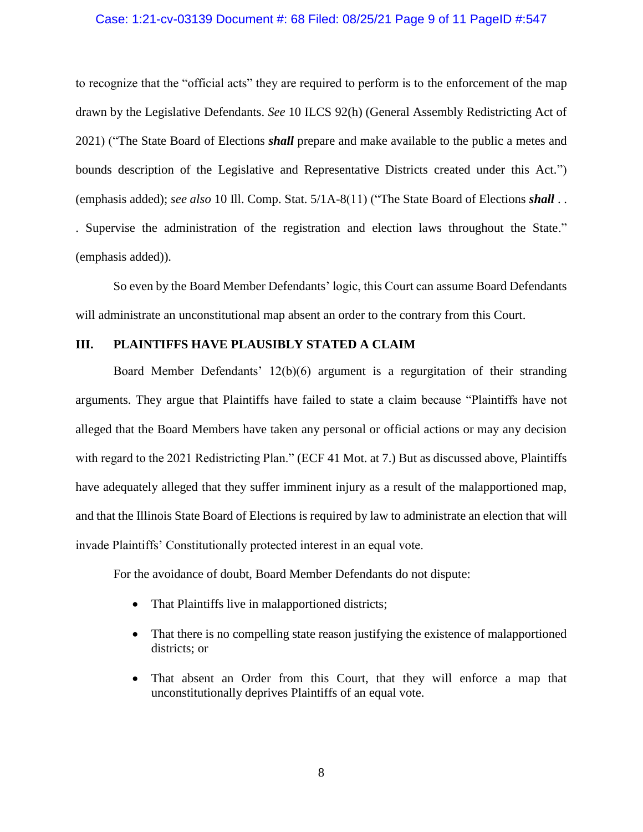### Case: 1:21-cv-03139 Document #: 68 Filed: 08/25/21 Page 9 of 11 PageID #:547

to recognize that the "official acts" they are required to perform is to the enforcement of the map drawn by the Legislative Defendants. *See* 10 ILCS 92(h) (General Assembly Redistricting Act of 2021) ("The State Board of Elections *shall* prepare and make available to the public a metes and bounds description of the Legislative and Representative Districts created under this Act.") (emphasis added); *see also* 10 Ill. Comp. Stat. 5/1A-8(11) ("The State Board of Elections *shall* . . . Supervise the administration of the registration and election laws throughout the State." (emphasis added)).

So even by the Board Member Defendants' logic, this Court can assume Board Defendants will administrate an unconstitutional map absent an order to the contrary from this Court.

### **III. PLAINTIFFS HAVE PLAUSIBLY STATED A CLAIM**

Board Member Defendants' 12(b)(6) argument is a regurgitation of their stranding arguments. They argue that Plaintiffs have failed to state a claim because "Plaintiffs have not alleged that the Board Members have taken any personal or official actions or may any decision with regard to the 2021 Redistricting Plan." (ECF 41 Mot. at 7.) But as discussed above, Plaintiffs have adequately alleged that they suffer imminent injury as a result of the malapportioned map, and that the Illinois State Board of Elections is required by law to administrate an election that will invade Plaintiffs' Constitutionally protected interest in an equal vote.

For the avoidance of doubt, Board Member Defendants do not dispute:

- That Plaintiffs live in malapportioned districts;
- That there is no compelling state reason justifying the existence of malapportioned districts; or
- That absent an Order from this Court, that they will enforce a map that unconstitutionally deprives Plaintiffs of an equal vote.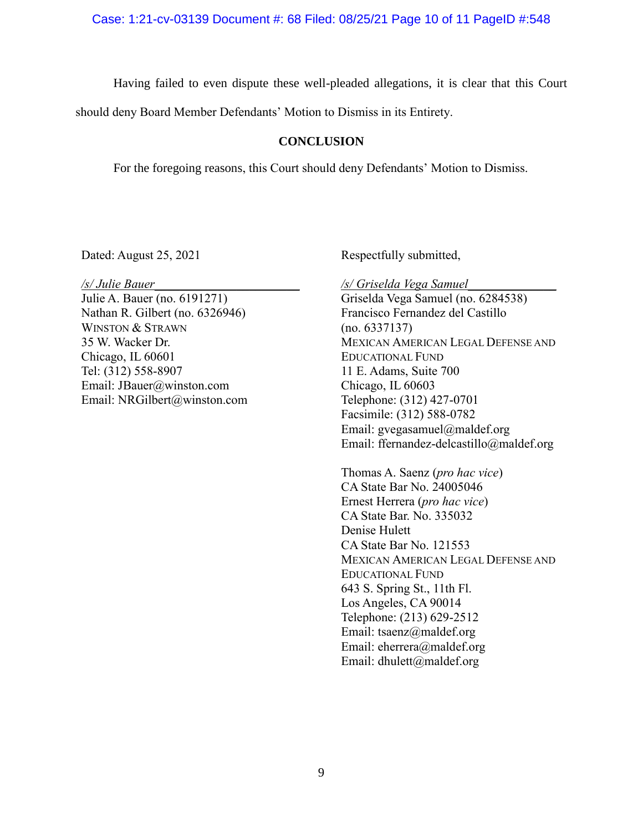Having failed to even dispute these well-pleaded allegations, it is clear that this Court

should deny Board Member Defendants' Motion to Dismiss in its Entirety.

### **CONCLUSION**

For the foregoing reasons, this Court should deny Defendants' Motion to Dismiss.

Dated: August 25, 2021

*/s/ Julie Bauer*\_\_\_\_\_\_\_\_\_\_\_\_\_\_\_\_\_\_\_\_\_\_\_

Julie A. Bauer (no. 6191271) Nathan R. Gilbert (no. 6326946) WINSTON & STRAWN 35 W. Wacker Dr. Chicago, IL 60601 Tel: (312) 558-8907 Email: JBauer@winston.com Email: NRGilbert@winston.com Respectfully submitted,

*/s/ Griselda Vega Samuel*\_\_\_\_\_\_\_\_\_\_\_\_\_\_ Griselda Vega Samuel (no. 6284538) Francisco Fernandez del Castillo (no. 6337137) MEXICAN AMERICAN LEGAL DEFENSE AND EDUCATIONAL FUND 11 E. Adams, Suite 700 Chicago, IL 60603 Telephone: (312) 427-0701 Facsimile: (312) 588-0782 Email: gvegasamuel@maldef.org Email: ffernandez-delcastillo@maldef.org

Thomas A. Saenz (*pro hac vice*) CA State Bar No. 24005046 Ernest Herrera (*pro hac vice*) CA State Bar. No. 335032 Denise Hulett CA State Bar No. 121553 MEXICAN AMERICAN LEGAL DEFENSE AND EDUCATIONAL FUND 643 S. Spring St., 11th Fl. Los Angeles, CA 90014 Telephone: (213) 629-2512 Email: tsaenz@maldef.org Email: eherrera@maldef.org Email: dhulett@maldef.org